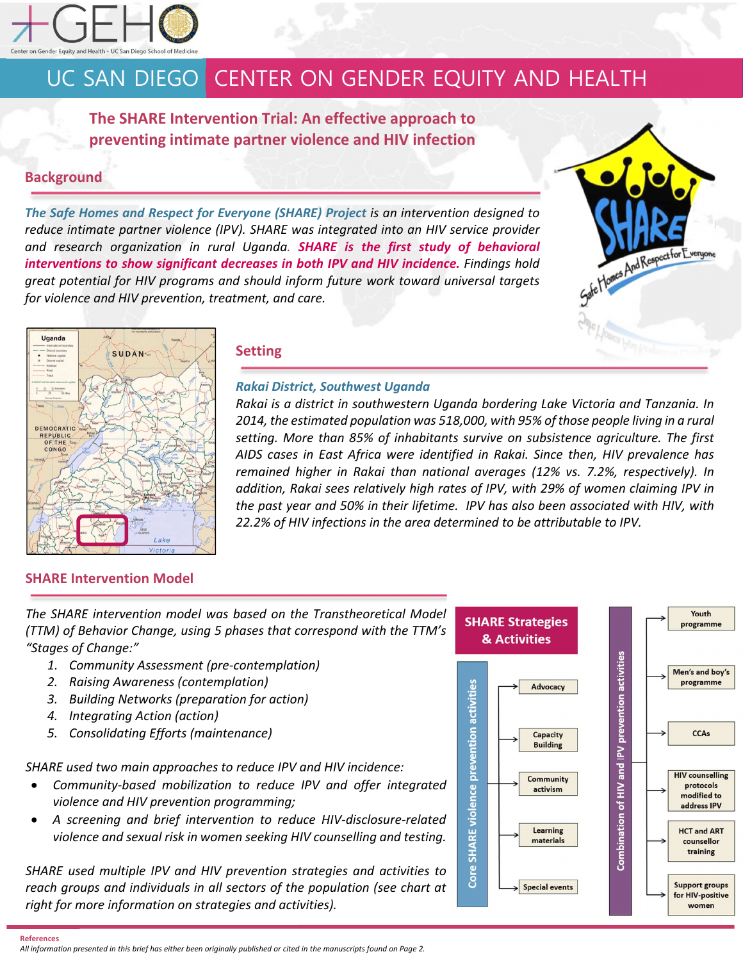

# UC SAN DIEGO CENTER ON GENDER EQUITY AND HEALTH

**The SHARE Intervention Trial: An effective approach to preventing intimate partner violence and HIV infection** 

## **Background**

*The Safe Homes and Respect for Everyone (SHARE) Project is an intervention designed to reduce intimate partner violence (IPV). SHARE was integrated into an HIV service provider and research organization in rural Uganda. SHARE is the first study of behavioral interventions to show significant decreases in both IPV and HIV incidence. Findings hold great potential for HIV programs and should inform future work toward universal targets for violence and HIV prevention, treatment, and care.* 





### **Setting**

### *Rakai District, Southwest Uganda*

*Rakai is a district in southwestern Uganda bordering Lake Victoria and Tanzania. In 2014, the estimated population was 518,000, with 95% of those people living in a rural setting. More than 85% of inhabitants survive on subsistence agriculture. The first AIDS cases in East Africa were identified in Rakai. Since then, HIV prevalence has remained higher in Rakai than national averages (12% vs. 7.2%, respectively). In addition, Rakai sees relatively high rates of IPV, with 29% of women claiming IPV in the past year and 50% in their lifetime. IPV has also been associated with HIV, with 22.2% of HIV infections in the area determined to be attributable to IPV.* 

## **SHARE Intervention Model**

*The SHARE intervention model was based on the Transtheoretical Model (TTM) of Behavior Change, using 5 phases that correspond with the TTM's "Stages of Change:"* 

- *1. Community Assessment (pre-contemplation)*
- *2. Raising Awareness (contemplation)*
- *3. Building Networks (preparation for action)*
- *4. Integrating Action (action)*
- *5. Consolidating Efforts (maintenance)*

*SHARE used two main approaches to reduce IPV and HIV incidence:* 

- *Community-based mobilization to reduce IPV and offer integrated violence and HIV prevention programming;*
- *A screening and brief intervention to reduce HIV-disclosure-related violence and sexual risk in women seeking HIV counselling and testing.*

*SHARE used multiple IPV and HIV prevention strategies and activities to reach groups and individuals in all sectors of the population (see chart at right for more information on strategies and activities).* 



*All information presented in this brief has either been originally published or cited in the manuscripts found on Page 2.*